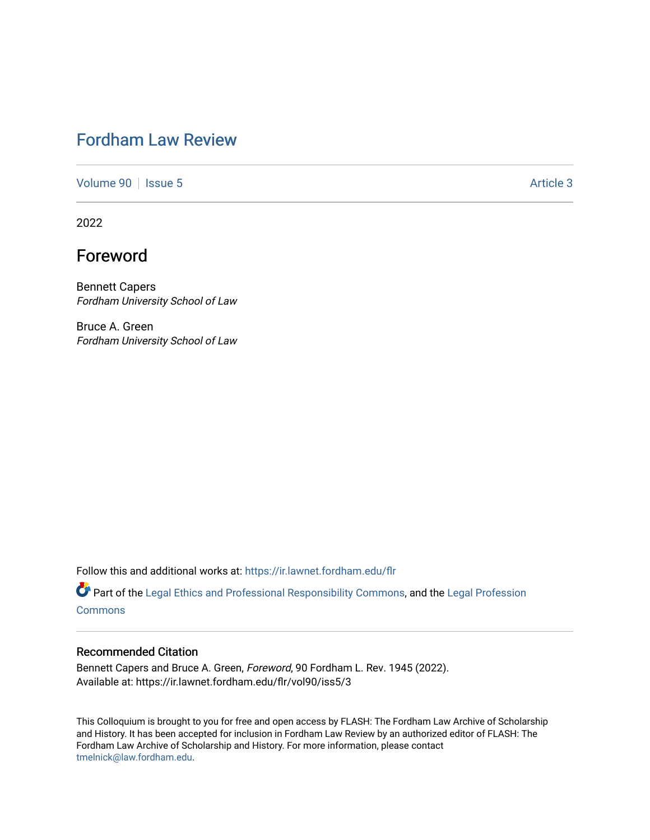## [Fordham Law Review](https://ir.lawnet.fordham.edu/flr)

[Volume 90](https://ir.lawnet.fordham.edu/flr/vol90) | [Issue 5](https://ir.lawnet.fordham.edu/flr/vol90/iss5) Article 3

2022

# Foreword

Bennett Capers Fordham University School of Law

Bruce A. Green Fordham University School of Law

Follow this and additional works at: [https://ir.lawnet.fordham.edu/flr](https://ir.lawnet.fordham.edu/flr?utm_source=ir.lawnet.fordham.edu%2Fflr%2Fvol90%2Fiss5%2F3&utm_medium=PDF&utm_campaign=PDFCoverPages)

Part of the [Legal Ethics and Professional Responsibility Commons](http://network.bepress.com/hgg/discipline/895?utm_source=ir.lawnet.fordham.edu%2Fflr%2Fvol90%2Fiss5%2F3&utm_medium=PDF&utm_campaign=PDFCoverPages), and the [Legal Profession](http://network.bepress.com/hgg/discipline/1075?utm_source=ir.lawnet.fordham.edu%2Fflr%2Fvol90%2Fiss5%2F3&utm_medium=PDF&utm_campaign=PDFCoverPages) [Commons](http://network.bepress.com/hgg/discipline/1075?utm_source=ir.lawnet.fordham.edu%2Fflr%2Fvol90%2Fiss5%2F3&utm_medium=PDF&utm_campaign=PDFCoverPages)

#### Recommended Citation

Bennett Capers and Bruce A. Green, Foreword, 90 Fordham L. Rev. 1945 (2022). Available at: https://ir.lawnet.fordham.edu/flr/vol90/iss5/3

This Colloquium is brought to you for free and open access by FLASH: The Fordham Law Archive of Scholarship and History. It has been accepted for inclusion in Fordham Law Review by an authorized editor of FLASH: The Fordham Law Archive of Scholarship and History. For more information, please contact [tmelnick@law.fordham.edu](mailto:tmelnick@law.fordham.edu).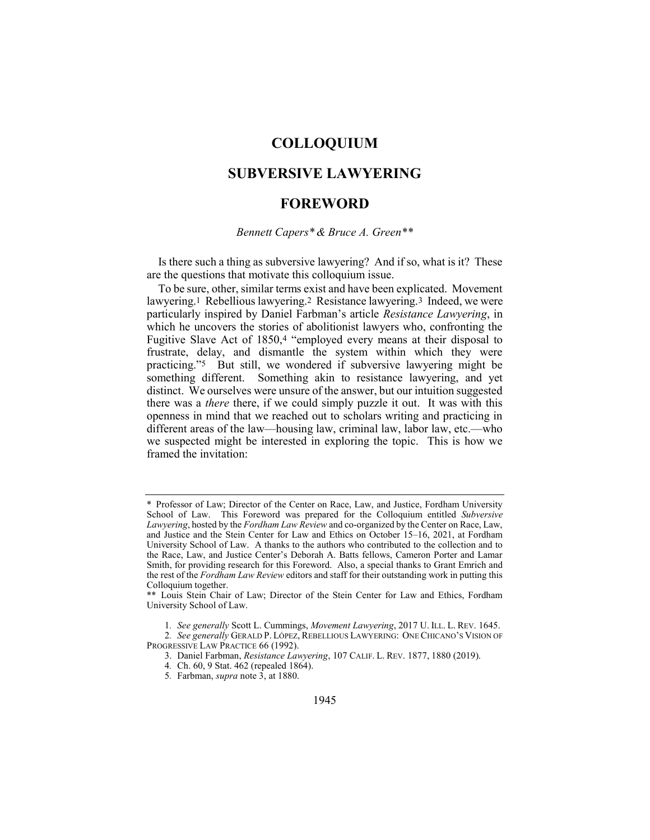## COLLOQUIUM

### SUBVERSIVE LAWYERING

### FOREWORD

#### Bennett Capers\* & Bruce A. Green\*\*

Is there such a thing as subversive lawyering? And if so, what is it? These are the questions that motivate this colloquium issue.

To be sure, other, similar terms exist and have been explicated. Movement lawyering.1 Rebellious lawyering.2 Resistance lawyering.3 Indeed, we were particularly inspired by Daniel Farbman's article Resistance Lawyering, in which he uncovers the stories of abolitionist lawyers who, confronting the Fugitive Slave Act of 1850,4 "employed every means at their disposal to frustrate, delay, and dismantle the system within which they were practicing."5 But still, we wondered if subversive lawyering might be something different. Something akin to resistance lawyering, and yet distinct. We ourselves were unsure of the answer, but our intuition suggested there was a there there, if we could simply puzzle it out. It was with this openness in mind that we reached out to scholars writing and practicing in different areas of the law—housing law, criminal law, labor law, etc.—who we suspected might be interested in exploring the topic. This is how we framed the invitation:

<sup>\*</sup> Professor of Law; Director of the Center on Race, Law, and Justice, Fordham University School of Law. This Foreword was prepared for the Colloquium entitled Subversive Lawyering, hosted by the Fordham Law Review and co-organized by the Center on Race, Law, and Justice and the Stein Center for Law and Ethics on October 15–16, 2021, at Fordham University School of Law. A thanks to the authors who contributed to the collection and to the Race, Law, and Justice Center's Deborah A. Batts fellows, Cameron Porter and Lamar Smith, for providing research for this Foreword. Also, a special thanks to Grant Emrich and the rest of the *Fordham Law Review* editors and staff for their outstanding work in putting this Colloquium together.

<sup>\*\*</sup> Louis Stein Chair of Law; Director of the Stein Center for Law and Ethics, Fordham University School of Law.

<sup>1</sup>. See generally Scott L. Cummings, Movement Lawyering, 2017 U. ILL. L. REV. 1645.

<sup>2</sup>. See generally GERALD P. LÓPEZ, REBELLIOUS LAWYERING: ONE CHICANO'S VISION OF PROGRESSIVE LAW PRACTICE 66 (1992).

<sup>3.</sup> Daniel Farbman, Resistance Lawyering, 107 CALIF. L. REV. 1877, 1880 (2019).

<sup>4</sup>. Ch. 60, 9 Stat. 462 (repealed 1864).

<sup>5.</sup> Farbman, supra note  $\overline{3}$ , at 1880.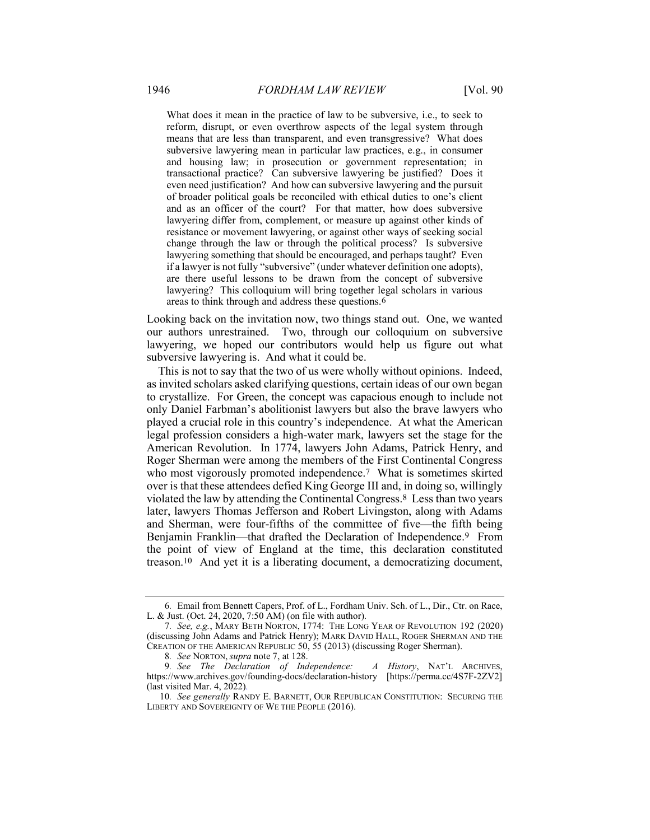What does it mean in the practice of law to be subversive, i.e., to seek to reform, disrupt, or even overthrow aspects of the legal system through means that are less than transparent, and even transgressive? What does subversive lawyering mean in particular law practices, e.g., in consumer and housing law; in prosecution or government representation; in transactional practice? Can subversive lawyering be justified? Does it even need justification? And how can subversive lawyering and the pursuit of broader political goals be reconciled with ethical duties to one's client and as an officer of the court? For that matter, how does subversive lawyering differ from, complement, or measure up against other kinds of resistance or movement lawyering, or against other ways of seeking social change through the law or through the political process? Is subversive lawyering something that should be encouraged, and perhaps taught? Even if a lawyer is not fully "subversive" (under whatever definition one adopts), are there useful lessons to be drawn from the concept of subversive lawyering? This colloquium will bring together legal scholars in various areas to think through and address these questions.6

Looking back on the invitation now, two things stand out. One, we wanted our authors unrestrained. Two, through our colloquium on subversive lawyering, we hoped our contributors would help us figure out what subversive lawyering is. And what it could be.

This is not to say that the two of us were wholly without opinions. Indeed, as invited scholars asked clarifying questions, certain ideas of our own began to crystallize. For Green, the concept was capacious enough to include not only Daniel Farbman's abolitionist lawyers but also the brave lawyers who played a crucial role in this country's independence. At what the American legal profession considers a high-water mark, lawyers set the stage for the American Revolution. In 1774, lawyers John Adams, Patrick Henry, and Roger Sherman were among the members of the First Continental Congress who most vigorously promoted independence.<sup>7</sup> What is sometimes skirted over is that these attendees defied King George III and, in doing so, willingly violated the law by attending the Continental Congress.8 Less than two years later, lawyers Thomas Jefferson and Robert Livingston, along with Adams and Sherman, were four-fifths of the committee of five—the fifth being Benjamin Franklin—that drafted the Declaration of Independence.9 From the point of view of England at the time, this declaration constituted treason.10 And yet it is a liberating document, a democratizing document,

<sup>6</sup>. Email from Bennett Capers, Prof. of L., Fordham Univ. Sch. of L., Dir., Ctr. on Race, L. & Just. (Oct. 24, 2020, 7:50 AM) (on file with author).

<sup>7</sup>. See, e.g., MARY BETH NORTON, 1774: THE LONG YEAR OF REVOLUTION 192 (2020) (discussing John Adams and Patrick Henry); MARK DAVID HALL, ROGER SHERMAN AND THE CREATION OF THE AMERICAN REPUBLIC 50, 55 (2013) (discussing Roger Sherman).

<sup>8</sup>. See NORTON, supra note 7, at 128.

<sup>9.</sup> See The Declaration of Independence: A History, NAT'L ARCHIVES, https://www.archives.gov/founding-docs/declaration-history [https://perma.cc/4S7F-2ZV2] (last visited Mar. 4, 2022).

<sup>10.</sup> See generally RANDY E. BARNETT, OUR REPUBLICAN CONSTITUTION: SECURING THE LIBERTY AND SOVEREIGNTY OF WE THE PEOPLE (2016).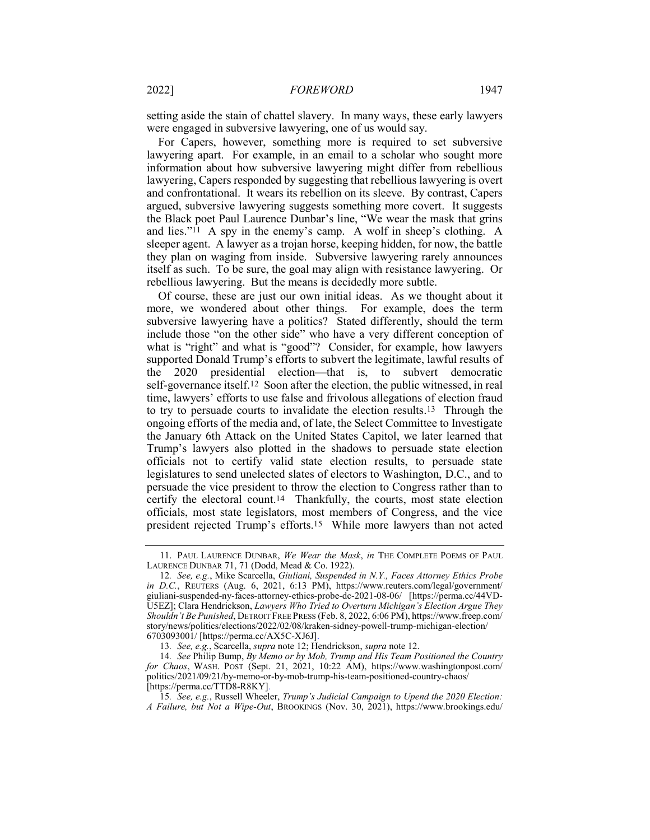setting aside the stain of chattel slavery. In many ways, these early lawyers were engaged in subversive lawyering, one of us would say.

For Capers, however, something more is required to set subversive lawyering apart. For example, in an email to a scholar who sought more information about how subversive lawyering might differ from rebellious lawyering, Capers responded by suggesting that rebellious lawyering is overt and confrontational. It wears its rebellion on its sleeve. By contrast, Capers argued, subversive lawyering suggests something more covert. It suggests the Black poet Paul Laurence Dunbar's line, "We wear the mask that grins and lies."11 A spy in the enemy's camp. A wolf in sheep's clothing. A sleeper agent. A lawyer as a trojan horse, keeping hidden, for now, the battle they plan on waging from inside. Subversive lawyering rarely announces itself as such. To be sure, the goal may align with resistance lawyering. Or rebellious lawyering. But the means is decidedly more subtle.

Of course, these are just our own initial ideas. As we thought about it more, we wondered about other things. For example, does the term subversive lawyering have a politics? Stated differently, should the term include those "on the other side" who have a very different conception of what is "right" and what is "good"? Consider, for example, how lawyers supported Donald Trump's efforts to subvert the legitimate, lawful results of the 2020 presidential election—that is, to subvert democratic self-governance itself.12 Soon after the election, the public witnessed, in real time, lawyers' efforts to use false and frivolous allegations of election fraud to try to persuade courts to invalidate the election results.13 Through the ongoing efforts of the media and, of late, the Select Committee to Investigate the January 6th Attack on the United States Capitol, we later learned that Trump's lawyers also plotted in the shadows to persuade state election officials not to certify valid state election results, to persuade state legislatures to send unelected slates of electors to Washington, D.C., and to persuade the vice president to throw the election to Congress rather than to certify the electoral count.14 Thankfully, the courts, most state election officials, most state legislators, most members of Congress, and the vice president rejected Trump's efforts.15 While more lawyers than not acted

<sup>11.</sup> PAUL LAURENCE DUNBAR, We Wear the Mask, in THE COMPLETE POEMS OF PAUL LAURENCE DUNBAR 71, 71 (Dodd, Mead & Co. 1922).

<sup>12.</sup> See, e.g., Mike Scarcella, Giuliani, Suspended in N.Y., Faces Attorney Ethics Probe in D.C., REUTERS (Aug. 6, 2021, 6:13 PM), https://www.reuters.com/legal/government/ giuliani-suspended-ny-faces-attorney-ethics-probe-dc-2021-08-06/ [https://perma.cc/44VD-U5EZ]; Clara Hendrickson, Lawyers Who Tried to Overturn Michigan's Election Argue They Shouldn't Be Punished, DETROIT FREE PRESS (Feb. 8, 2022, 6:06 PM), https://www.freep.com/ story/news/politics/elections/2022/02/08/kraken-sidney-powell-trump-michigan-election/ 6703093001/ [https://perma.cc/AX5C-XJ6J].

<sup>13</sup>. See, e.g., Scarcella, supra note 12; Hendrickson, supra note 12.

<sup>14</sup>. See Philip Bump, By Memo or by Mob, Trump and His Team Positioned the Country for Chaos, WASH. POST (Sept. 21, 2021, 10:22 AM), https://www.washingtonpost.com/ politics/2021/09/21/by-memo-or-by-mob-trump-his-team-positioned-country-chaos/ [https://perma.cc/TTD8-R8KY].

<sup>15</sup>. See, e.g., Russell Wheeler, Trump's Judicial Campaign to Upend the 2020 Election: A Failure, but Not a Wipe-Out, BROOKINGS (Nov. 30, 2021), https://www.brookings.edu/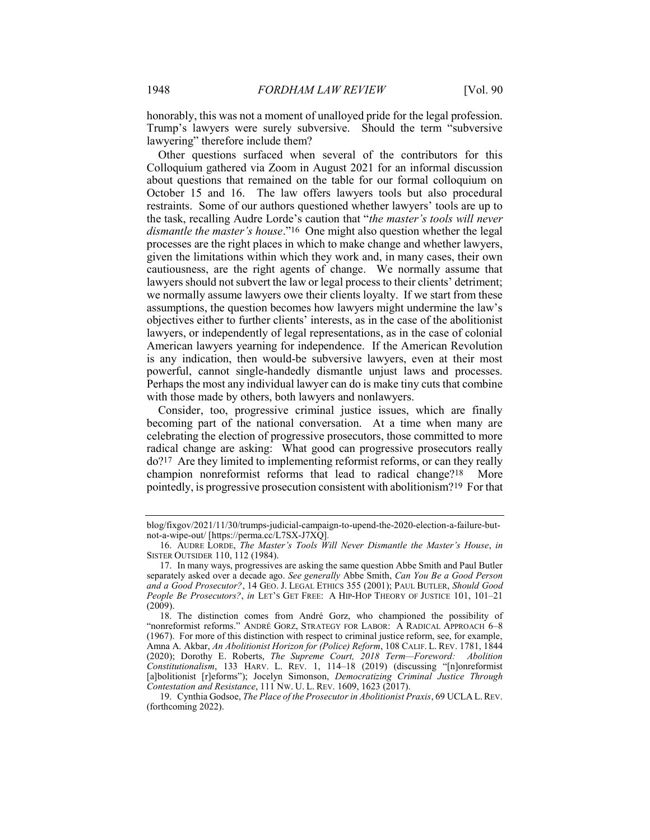honorably, this was not a moment of unalloyed pride for the legal profession. Trump's lawyers were surely subversive. Should the term "subversive lawyering" therefore include them?

Other questions surfaced when several of the contributors for this Colloquium gathered via Zoom in August 2021 for an informal discussion about questions that remained on the table for our formal colloquium on October 15 and 16. The law offers lawyers tools but also procedural restraints. Some of our authors questioned whether lawyers' tools are up to the task, recalling Audre Lorde's caution that "the master's tools will never dismantle the master's house."16 One might also question whether the legal processes are the right places in which to make change and whether lawyers, given the limitations within which they work and, in many cases, their own cautiousness, are the right agents of change. We normally assume that lawyers should not subvert the law or legal process to their clients' detriment; we normally assume lawyers owe their clients loyalty. If we start from these assumptions, the question becomes how lawyers might undermine the law's objectives either to further clients' interests, as in the case of the abolitionist lawyers, or independently of legal representations, as in the case of colonial American lawyers yearning for independence. If the American Revolution is any indication, then would-be subversive lawyers, even at their most powerful, cannot single-handedly dismantle unjust laws and processes. Perhaps the most any individual lawyer can do is make tiny cuts that combine with those made by others, both lawyers and nonlawyers.

Consider, too, progressive criminal justice issues, which are finally becoming part of the national conversation. At a time when many are celebrating the election of progressive prosecutors, those committed to more radical change are asking: What good can progressive prosecutors really do?17 Are they limited to implementing reformist reforms, or can they really champion nonreformist reforms that lead to radical change?18 More pointedly, is progressive prosecution consistent with abolitionism?19 For that

blog/fixgov/2021/11/30/trumps-judicial-campaign-to-upend-the-2020-election-a-failure-butnot-a-wipe-out/ [https://perma.cc/L7SX-J7XQ].

 <sup>16.</sup> AUDRE LORDE, The Master's Tools Will Never Dismantle the Master's House, in SISTER OUTSIDER 110, 112 (1984).

 <sup>17.</sup> In many ways, progressives are asking the same question Abbe Smith and Paul Butler separately asked over a decade ago. See generally Abbe Smith, Can You Be a Good Person and a Good Prosecutor?, 14 GEO. J. LEGAL ETHICS 355 (2001); PAUL BUTLER, Should Good People Be Prosecutors?, in LET'S GET FREE: A HIP-HOP THEORY OF JUSTICE 101, 101–21  $(2009)$ .

 <sup>18.</sup> The distinction comes from André Gorz, who championed the possibility of "nonreformist reforms." ANDRÉ GORZ, STRATEGY FOR LABOR: A RADICAL APPROACH 6–8 (1967). For more of this distinction with respect to criminal justice reform, see, for example, Amna A. Akbar, An Abolitionist Horizon for (Police) Reform, 108 CALIF. L. REV. 1781, 1844 (2020); Dorothy E. Roberts, The Supreme Court, 2018 Term—Foreword: Abolition Constitutionalism, 133 HARV. L. REV. 1, 114–18 (2019) (discussing "[n]onreformist [a]bolitionist [r]eforms"); Jocelyn Simonson, Democratizing Criminal Justice Through Contestation and Resistance, 111 NW. U. L. REV. 1609, 1623 (2017).

<sup>19.</sup> Cynthia Godsoe, The Place of the Prosecutor in Abolitionist Praxis, 69 UCLA L. REV. (forthcoming 2022).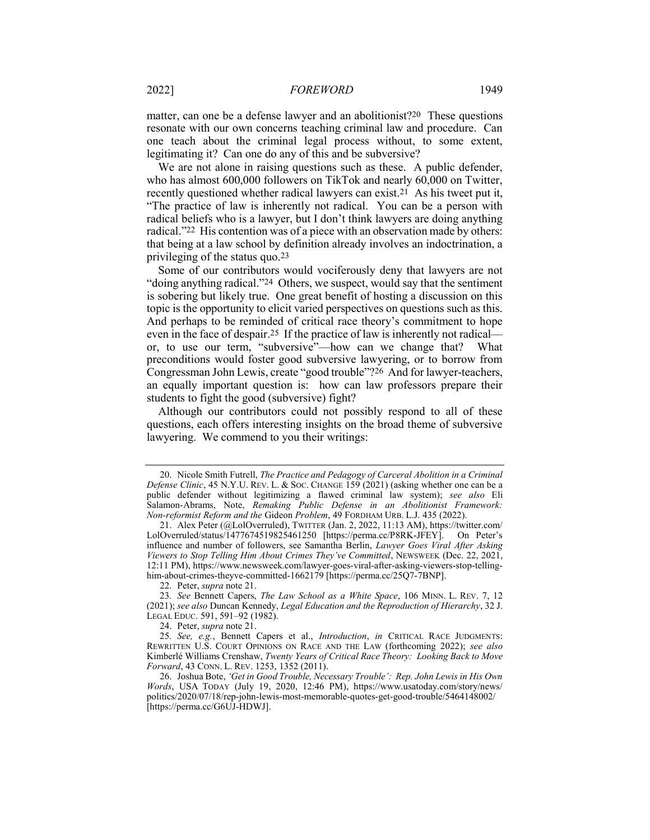matter, can one be a defense lawyer and an abolitionist?20 These questions resonate with our own concerns teaching criminal law and procedure. Can one teach about the criminal legal process without, to some extent, legitimating it? Can one do any of this and be subversive?

We are not alone in raising questions such as these. A public defender, who has almost 600,000 followers on TikTok and nearly 60,000 on Twitter, recently questioned whether radical lawyers can exist.21 As his tweet put it, "The practice of law is inherently not radical. You can be a person with radical beliefs who is a lawyer, but I don't think lawyers are doing anything radical."22 His contention was of a piece with an observation made by others: that being at a law school by definition already involves an indoctrination, a privileging of the status quo.23

Some of our contributors would vociferously deny that lawyers are not "doing anything radical."24 Others, we suspect, would say that the sentiment is sobering but likely true. One great benefit of hosting a discussion on this topic is the opportunity to elicit varied perspectives on questions such as this. And perhaps to be reminded of critical race theory's commitment to hope even in the face of despair.25 If the practice of law is inherently not radical or, to use our term, "subversive"—how can we change that? What preconditions would foster good subversive lawyering, or to borrow from Congressman John Lewis, create "good trouble"?26 And for lawyer-teachers, an equally important question is: how can law professors prepare their students to fight the good (subversive) fight?

Although our contributors could not possibly respond to all of these questions, each offers interesting insights on the broad theme of subversive lawyering. We commend to you their writings:

22. Peter, supra note 21.

<sup>20.</sup> Nicole Smith Futrell, The Practice and Pedagogy of Carceral Abolition in a Criminal Defense Clinic, 45 N.Y.U. REV. L. & Soc. CHANGE  $\overline{159}$  (2021) (asking whether one can be a public defender without legitimizing a flawed criminal law system); see also Eli Salamon-Abrams, Note, Remaking Public Defense in an Abolitionist Framework: Non-reformist Reform and the Gideon Problem, 49 FORDHAM URB. L.J. 435 (2022).

 <sup>21.</sup> Alex Peter (@LolOverruled), TWITTER (Jan. 2, 2022, 11:13 AM), https://twitter.com/ LolOverruled/status/1477674519825461250 [https://perma.cc/P8RK-JFEY]. On Peter's influence and number of followers, see Samantha Berlin, Lawyer Goes Viral After Asking Viewers to Stop Telling Him About Crimes They've Committed, NEWSWEEK (Dec. 22, 2021, 12:11 PM), https://www.newsweek.com/lawyer-goes-viral-after-asking-viewers-stop-tellinghim-about-crimes-theyve-committed-1662179 [https://perma.cc/25Q7-7BNP].

<sup>23.</sup> See Bennett Capers, The Law School as a White Space, 106 MINN. L. REV. 7, 12 (2021); see also Duncan Kennedy, Legal Education and the Reproduction of Hierarchy, 32 J. LEGAL EDUC. 591, 591–92 (1982).

 <sup>24.</sup> Peter, supra note 21.

<sup>25.</sup> See, e.g., Bennett Capers et al., *Introduction*, in CRITICAL RACE JUDGMENTS: REWRITTEN U.S. COURT OPINIONS ON RACE AND THE LAW (forthcoming 2022); see also Kimberlé Williams Crenshaw, Twenty Years of Critical Race Theory: Looking Back to Move Forward, 43 CONN. L. REV. 1253, 1352 (2011).

 <sup>26.</sup> Joshua Bote, 'Get in Good Trouble, Necessary Trouble': Rep. John Lewis in His Own Words, USA TODAY (July 19, 2020, 12:46 PM), https://www.usatoday.com/story/news/ politics/2020/07/18/rep-john-lewis-most-memorable-quotes-get-good-trouble/5464148002/ [https://perma.cc/G6UJ-HDWJ].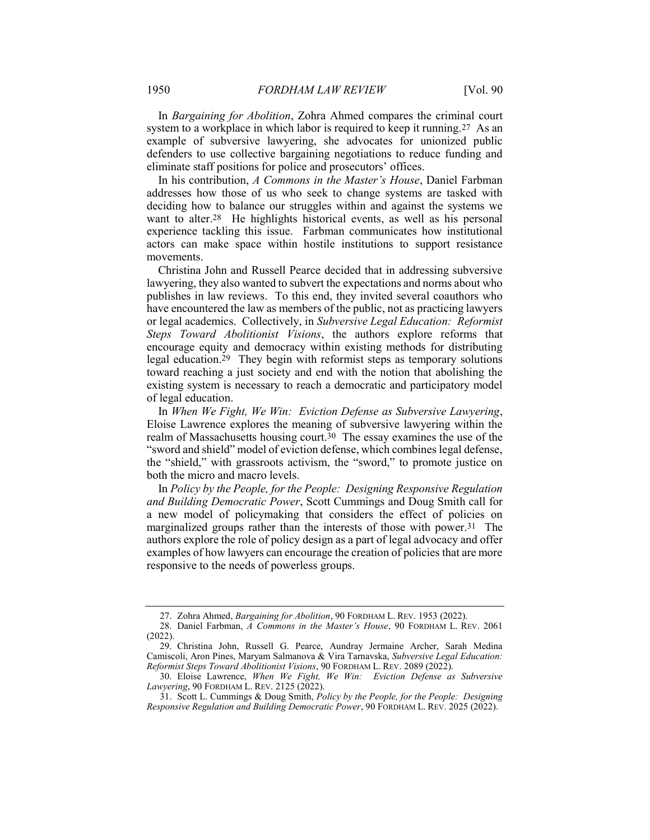In Bargaining for Abolition, Zohra Ahmed compares the criminal court system to a workplace in which labor is required to keep it running.<sup>27</sup> As an example of subversive lawyering, she advocates for unionized public defenders to use collective bargaining negotiations to reduce funding and eliminate staff positions for police and prosecutors' offices.

In his contribution, A Commons in the Master's House, Daniel Farbman addresses how those of us who seek to change systems are tasked with deciding how to balance our struggles within and against the systems we want to alter.28 He highlights historical events, as well as his personal experience tackling this issue. Farbman communicates how institutional actors can make space within hostile institutions to support resistance movements.

Christina John and Russell Pearce decided that in addressing subversive lawyering, they also wanted to subvert the expectations and norms about who publishes in law reviews. To this end, they invited several coauthors who have encountered the law as members of the public, not as practicing lawyers or legal academics. Collectively, in Subversive Legal Education: Reformist Steps Toward Abolitionist Visions, the authors explore reforms that encourage equity and democracy within existing methods for distributing legal education.29 They begin with reformist steps as temporary solutions toward reaching a just society and end with the notion that abolishing the existing system is necessary to reach a democratic and participatory model of legal education.

In When We Fight, We Win: Eviction Defense as Subversive Lawyering, Eloise Lawrence explores the meaning of subversive lawyering within the realm of Massachusetts housing court.30 The essay examines the use of the "sword and shield" model of eviction defense, which combines legal defense, the "shield," with grassroots activism, the "sword," to promote justice on both the micro and macro levels.

In Policy by the People, for the People: Designing Responsive Regulation and Building Democratic Power, Scott Cummings and Doug Smith call for a new model of policymaking that considers the effect of policies on marginalized groups rather than the interests of those with power.31 The authors explore the role of policy design as a part of legal advocacy and offer examples of how lawyers can encourage the creation of policies that are more responsive to the needs of powerless groups.

 <sup>27.</sup> Zohra Ahmed, Bargaining for Abolition, 90 FORDHAM L. REV. 1953 (2022).

 <sup>28.</sup> Daniel Farbman, A Commons in the Master's House, 90 FORDHAM L. REV. 2061 (2022).

 <sup>29.</sup> Christina John, Russell G. Pearce, Aundray Jermaine Archer, Sarah Medina Camiscoli, Aron Pines, Maryam Salmanova & Vira Tarnavska, Subversive Legal Education: Reformist Steps Toward Abolitionist Visions, 90 FORDHAM L. REV. 2089 (2022).

 <sup>30.</sup> Eloise Lawrence, When We Fight, We Win: Eviction Defense as Subversive Lawyering, 90 FORDHAM L. REV. 2125 (2022).

 <sup>31.</sup> Scott L. Cummings & Doug Smith, Policy by the People, for the People: Designing Responsive Regulation and Building Democratic Power, 90 FORDHAM L. REV. 2025 (2022).